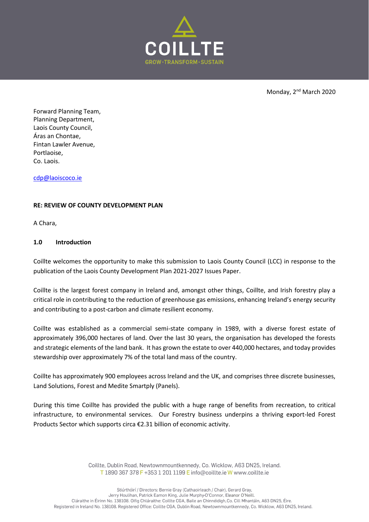

Monday, 2<sup>nd</sup> March 2020

Forward Planning Team, Planning Department, Laois County Council, Áras an Chontae, Fintan Lawler Avenue, Portlaoise, Co. Laois.

cdp@laoiscoco.ie

## **RE: REVIEW OF COUNTY DEVELOPMENT PLAN**

A Chara,

## **1.0 Introduction**

Coillte welcomes the opportunity to make this submission to Laois County Council (LCC) in response to the publication of the Laois County Development Plan 2021-2027 Issues Paper.

Coillte is the largest forest company in Ireland and, amongst other things, Coillte, and Irish forestry play a critical role in contributing to the reduction of greenhouse gas emissions, enhancing Ireland's energy security and contributing to a post-carbon and climate resilient economy.

Coillte was established as a commercial semi-state company in 1989, with a diverse forest estate of approximately 396,000 hectares of land. Over the last 30 years, the organisation has developed the forests and strategic elements of the land bank. It has grown the estate to over 440,000 hectares, and today provides stewardship over approximately 7% of the total land mass of the country.

Coillte has approximately 900 employees across Ireland and the UK, and comprises three discrete businesses, Land Solutions, Forest and Medite Smartply (Panels).

During this time Coillte has provided the public with a huge range of benefits from recreation, to critical infrastructure, to environmental services. Our Forestry business underpins a thriving export-led Forest Products Sector which supports circa €2.31 billion of economic activity.

> Coillte, Dublin Road, Newtownmountkennedy, Co. Wicklow, A63 DN25, Ireland. T 1890 367 378 F +353 1 201 1199 E info@coillte.ie W www.coillte.ie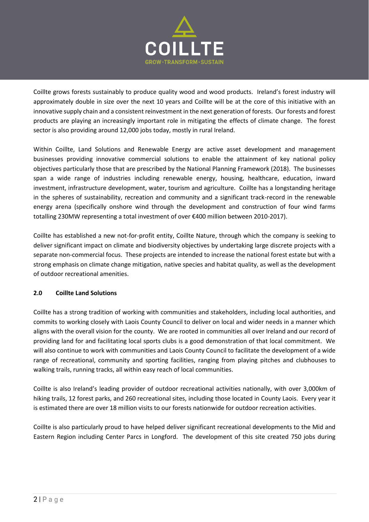

Coillte grows forests sustainably to produce quality wood and wood products. Ireland's forest industry will approximately double in size over the next 10 years and Coillte will be at the core of this initiative with an innovative supply chain and a consistent reinvestment in the next generation of forests. Our forests and forest products are playing an increasingly important role in mitigating the effects of climate change. The forest sector is also providing around 12,000 jobs today, mostly in rural Ireland.

Within Coillte, Land Solutions and Renewable Energy are active asset development and management businesses providing innovative commercial solutions to enable the attainment of key national policy objectives particularly those that are prescribed by the National Planning Framework (2018). The businesses span a wide range of industries including renewable energy, housing, healthcare, education, inward investment, infrastructure development, water, tourism and agriculture. Coillte has a longstanding heritage in the spheres of sustainability, recreation and community and a significant track-record in the renewable energy arena (specifically onshore wind through the development and construction of four wind farms totalling 230MW representing a total investment of over €400 million between 2010-2017).

Coillte has established a new not-for-profit entity, Coillte Nature, through which the company is seeking to deliver significant impact on climate and biodiversity objectives by undertaking large discrete projects with a separate non-commercial focus. These projects are intended to increase the national forest estate but with a strong emphasis on climate change mitigation, native species and habitat quality, as well as the development of outdoor recreational amenities.

# **2.0 Coillte Land Solutions**

Coillte has a strong tradition of working with communities and stakeholders, including local authorities, and commits to working closely with Laois County Council to deliver on local and wider needs in a manner which aligns with the overall vision for the county. We are rooted in communities all over Ireland and our record of providing land for and facilitating local sports clubs is a good demonstration of that local commitment. We will also continue to work with communities and Laois County Council to facilitate the development of a wide range of recreational, community and sporting facilities, ranging from playing pitches and clubhouses to walking trails, running tracks, all within easy reach of local communities.

Coillte is also Ireland's leading provider of outdoor recreational activities nationally, with over 3,000km of hiking trails, 12 forest parks, and 260 recreational sites, including those located in County Laois. Every year it is estimated there are over 18 million visits to our forests nationwide for outdoor recreation activities.

Coillte is also particularly proud to have helped deliver significant recreational developments to the Mid and Eastern Region including Center Parcs in Longford. The development of this site created 750 jobs during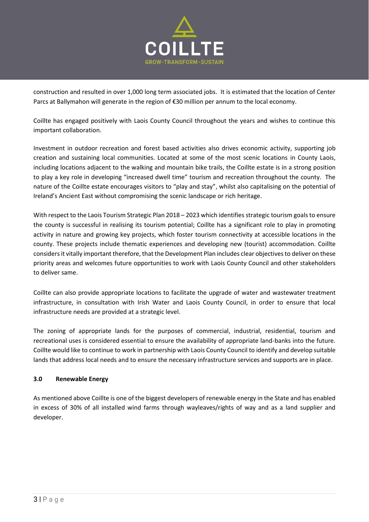

construction and resulted in over 1,000 long term associated jobs. It is estimated that the location of Center Parcs at Ballymahon will generate in the region of €30 million per annum to the local economy.

Coillte has engaged positively with Laois County Council throughout the years and wishes to continue this important collaboration.

Investment in outdoor recreation and forest based activities also drives economic activity, supporting job creation and sustaining local communities. Located at some of the most scenic locations in County Laois, including locations adjacent to the walking and mountain bike trails, the Coillte estate is in a strong position to play a key role in developing "increased dwell time" tourism and recreation throughout the county. The nature of the Coillte estate encourages visitors to "play and stay", whilst also capitalising on the potential of Ireland's Ancient East without compromising the scenic landscape or rich heritage.

With respect to the Laois Tourism Strategic Plan 2018 – 2023 which identifies strategic tourism goals to ensure the county is successful in realising its tourism potential; Coillte has a significant role to play in promoting activity in nature and growing key projects, which foster tourism connectivity at accessible locations in the county. These projects include thematic experiences and developing new (tourist) accommodation. Coillte considers it vitally important therefore, that the Development Plan includes clear objectives to deliver on these priority areas and welcomes future opportunities to work with Laois County Council and other stakeholders to deliver same.

Coillte can also provide appropriate locations to facilitate the upgrade of water and wastewater treatment infrastructure, in consultation with Irish Water and Laois County Council, in order to ensure that local infrastructure needs are provided at a strategic level.

The zoning of appropriate lands for the purposes of commercial, industrial, residential, tourism and recreational uses is considered essential to ensure the availability of appropriate land-banks into the future. Coillte would like to continue to work in partnership with Laois County Council to identify and develop suitable lands that address local needs and to ensure the necessary infrastructure services and supports are in place.

# **3.0 Renewable Energy**

As mentioned above Coillte is one of the biggest developers of renewable energy in the State and has enabled in excess of 30% of all installed wind farms through wayleaves/rights of way and as a land supplier and developer.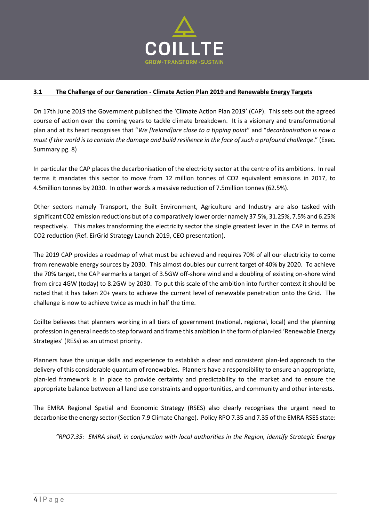

## **3.1 The Challenge of our Generation - Climate Action Plan 2019 and Renewable Energy Targets**

On 17th June 2019 the Government published the 'Climate Action Plan 2019' (CAP). This sets out the agreed course of action over the coming years to tackle climate breakdown. It is a visionary and transformational plan and at its heart recognises that "*We [Ireland]are close to a tipping point*" and "*decarbonisation is now a must if the world is to contain the damage and build resilience in the face of such a profound challenge*." (Exec. Summary pg. 8)

In particular the CAP places the decarbonisation of the electricity sector at the centre of its ambitions. In real terms it mandates this sector to move from 12 million tonnes of CO2 equivalent emissions in 2017, to 4.5million tonnes by 2030. In other words a massive reduction of 7.5million tonnes (62.5%).

Other sectors namely Transport, the Built Environment, Agriculture and Industry are also tasked with significant CO2 emission reductions but of a comparatively lower order namely 37.5%, 31.25%, 7.5% and 6.25% respectively. This makes transforming the electricity sector the single greatest lever in the CAP in terms of CO2 reduction (Ref. EirGrid Strategy Launch 2019, CEO presentation).

The 2019 CAP provides a roadmap of what must be achieved and requires 70% of all our electricity to come from renewable energy sources by 2030. This almost doubles our current target of 40% by 2020. To achieve the 70% target, the CAP earmarks a target of 3.5GW off-shore wind and a doubling of existing on-shore wind from circa 4GW (today) to 8.2GW by 2030. To put this scale of the ambition into further context it should be noted that it has taken 20+ years to achieve the current level of renewable penetration onto the Grid. The challenge is now to achieve twice as much in half the time.

Coillte believes that planners working in all tiers of government (national, regional, local) and the planning profession in general needs to step forward and frame this ambition in the form of plan-led 'Renewable Energy Strategies' (RESs) as an utmost priority.

Planners have the unique skills and experience to establish a clear and consistent plan-led approach to the delivery of this considerable quantum of renewables. Planners have a responsibility to ensure an appropriate, plan-led framework is in place to provide certainty and predictability to the market and to ensure the appropriate balance between all land use constraints and opportunities, and community and other interests.

The EMRA Regional Spatial and Economic Strategy (RSES) also clearly recognises the urgent need to decarbonise the energy sector (Section 7.9 Climate Change). Policy RPO 7.35 and 7.35 of the EMRA RSES state:

*"RPO7.35: EMRA shall, in conjunction with local authorities in the Region, identify Strategic Energy*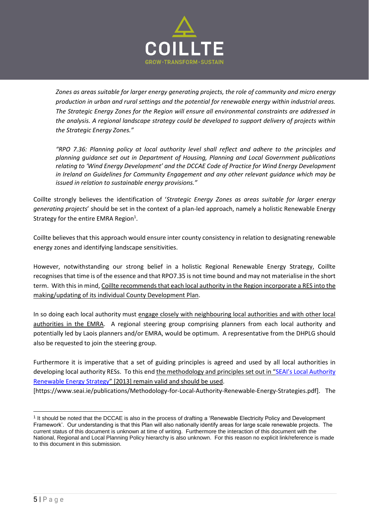

*Zones as areas suitable for larger energy generating projects, the role of community and micro energy production in urban and rural settings and the potential for renewable energy within industrial areas. The Strategic Energy Zones for the Region will ensure all environmental constraints are addressed in the analysis. A regional landscape strategy could be developed to support delivery of projects within the Strategic Energy Zones."* 

*"RPO 7.36: Planning policy at local authority level shall reflect and adhere to the principles and planning guidance set out in Department of Housing, Planning and Local Government publications relating to 'Wind Energy Development' and the DCCAE Code of Practice for Wind Energy Development in Ireland on Guidelines for Community Engagement and any other relevant guidance which may be issued in relation to sustainable energy provisions."*

Coillte strongly believes the identification of '*Strategic Energy Zones as areas suitable for larger energy generating projects*' should be set in the context of a plan-led approach, namely a holistic Renewable Energy Strategy for the entire EMRA Region<sup>1</sup>.

Coillte believes that this approach would ensure inter county consistency in relation to designating renewable energy zones and identifying landscape sensitivities.

However, notwithstanding our strong belief in a holistic Regional Renewable Energy Strategy, Coillte recognises that time is of the essence and that RPO7.35 is not time bound and may not materialise in the short term. With this in mind, Coillte recommends that each local authority in the Region incorporate a RES into the making/updating of its individual County Development Plan.

In so doing each local authority must engage closely with neighbouring local authorities and with other local authorities in the EMRA. A regional steering group comprising planners from each local authority and potentially led by Laois planners and/or EMRA, would be optimum. A representative from the DHPLG should also be requested to join the steering group.

Furthermore it is imperative that a set of guiding principles is agreed and used by all local authorities in developing local authority RESs. To this end the methodology and principles set out in ["SEAI's Local Authority](https://www.seai.ie/publications/Methodology-for-Local-Authority-Renewable-Energy-Strategies.pdf)  [Renewable Energy Strategy](https://www.seai.ie/publications/Methodology-for-Local-Authority-Renewable-Energy-Strategies.pdf)" [2013] remain valid and should be used.

[https://www.seai.ie/publications/Methodology-for-Local-Authority-Renewable-Energy-Strategies.pdf]. The

<sup>&</sup>lt;sup>1</sup> It should be noted that the DCCAE is also in the process of drafting a 'Renewable Electricity Policy and Development Framework'. Our understanding is that this Plan will also nationally identify areas for large scale renewable projects. The current status of this document is unknown at time of writing. Furthermore the interaction of this document with the National, Regional and Local Planning Policy hierarchy is also unknown. For this reason no explicit link/reference is made to this document in this submission.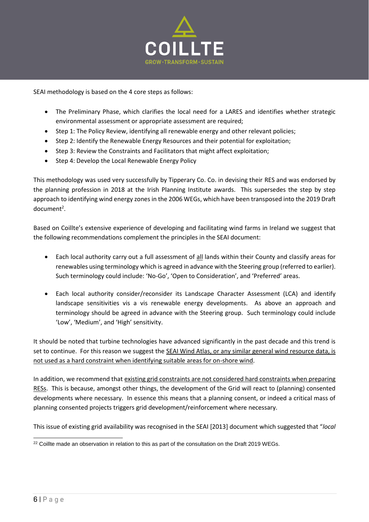

SEAI methodology is based on the 4 core steps as follows:

- The Preliminary Phase, which clarifies the local need for a LARES and identifies whether strategic environmental assessment or appropriate assessment are required;
- Step 1: The Policy Review, identifying all renewable energy and other relevant policies;
- Step 2: Identify the Renewable Energy Resources and their potential for exploitation;
- Step 3: Review the Constraints and Facilitators that might affect exploitation;
- Step 4: Develop the Local Renewable Energy Policy

This methodology was used very successfully by Tipperary Co. Co. in devising their RES and was endorsed by the planning profession in 2018 at the Irish Planning Institute awards. This supersedes the step by step approach to identifying wind energy zones in the 2006 WEGs, which have been transposed into the 2019 Draft document<sup>2</sup>.

Based on Coillte's extensive experience of developing and facilitating wind farms in Ireland we suggest that the following recommendations complement the principles in the SEAI document:

- Each local authority carry out a full assessment of all lands within their County and classify areas for renewables using terminology which is agreed in advance with the Steering group (referred to earlier). Such terminology could include: 'No-Go', 'Open to Consideration', and 'Preferred' areas.
- Each local authority consider/reconsider its Landscape Character Assessment (LCA) and identify landscape sensitivities vis a vis renewable energy developments. As above an approach and terminology should be agreed in advance with the Steering group. Such terminology could include 'Low', 'Medium', and 'High' sensitivity.

It should be noted that turbine technologies have advanced significantly in the past decade and this trend is set to continue. For this reason we suggest the SEAI Wind Atlas, or any similar general wind resource data, is not used as a hard constraint when identifying suitable areas for on-shore wind.

In addition, we recommend that existing grid constraints are not considered hard constraints when preparing RESs. This is because, amongst other things, the development of the Grid will react to (planning) consented developments where necessary. In essence this means that a planning consent, or indeed a critical mass of planning consented projects triggers grid development/reinforcement where necessary.

This issue of existing grid availability was recognised in the SEAI [2013] document which suggested that "*local* 

<sup>&</sup>lt;sup>22</sup> Coillte made an observation in relation to this as part of the consultation on the Draft 2019 WEGs.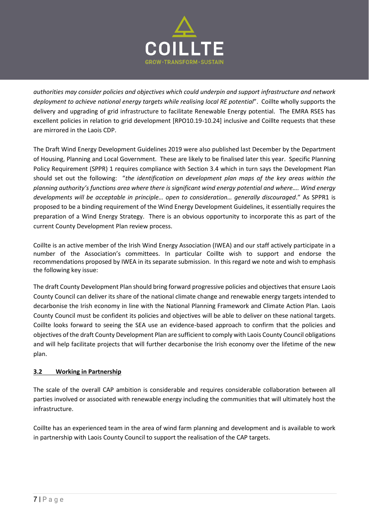

*authorities may consider policies and objectives which could underpin and support infrastructure and network deployment to achieve national energy targets while realising local RE potential*". Coillte wholly supports the delivery and upgrading of grid infrastructure to facilitate Renewable Energy potential. The EMRA RSES has excellent policies in relation to grid development [RPO10.19-10.24] inclusive and Coillte requests that these are mirrored in the Laois CDP.

The Draft Wind Energy Development Guidelines 2019 were also published last December by the Department of Housing, Planning and Local Government. These are likely to be finalised later this year. Specific Planning Policy Requirement (SPPR) 1 requires compliance with Section 3.4 which in turn says the Development Plan should set out the following: "*the identification on development plan maps of the key areas within the planning authority's functions area where there is significant wind energy potential and where…. Wind energy developments will be acceptable in principle… open to consideration… generally discouraged*." As SPPR1 is proposed to be a binding requirement of the Wind Energy Development Guidelines, it essentially requires the preparation of a Wind Energy Strategy. There is an obvious opportunity to incorporate this as part of the current County Development Plan review process.

Coillte is an active member of the Irish Wind Energy Association (IWEA) and our staff actively participate in a number of the Association's committees. In particular Coillte wish to support and endorse the recommendations proposed by IWEA in its separate submission. In this regard we note and wish to emphasis the following key issue:

The draft County Development Plan should bring forward progressive policies and objectives that ensure Laois County Council can deliver its share of the national climate change and renewable energy targets intended to decarbonise the Irish economy in line with the National Planning Framework and Climate Action Plan. Laois County Council must be confident its policies and objectives will be able to deliver on these national targets. Coillte looks forward to seeing the SEA use an evidence-based approach to confirm that the policies and objectives of the draft County Development Plan are sufficient to comply with Laois County Council obligations and will help facilitate projects that will further decarbonise the Irish economy over the lifetime of the new plan.

# **3.2 Working in Partnership**

The scale of the overall CAP ambition is considerable and requires considerable collaboration between all parties involved or associated with renewable energy including the communities that will ultimately host the infrastructure.

Coillte has an experienced team in the area of wind farm planning and development and is available to work in partnership with Laois County Council to support the realisation of the CAP targets.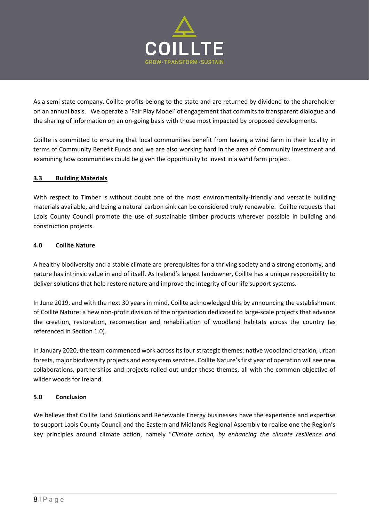

As a semi state company, Coillte profits belong to the state and are returned by dividend to the shareholder on an annual basis. We operate a 'Fair Play Model' of engagement that commits to transparent dialogue and the sharing of information on an on-going basis with those most impacted by proposed developments.

Coillte is committed to ensuring that local communities benefit from having a wind farm in their locality in terms of Community Benefit Funds and we are also working hard in the area of Community Investment and examining how communities could be given the opportunity to invest in a wind farm project.

# **3.3 Building Materials**

With respect to Timber is without doubt one of the most environmentally-friendly and versatile building materials available, and being a natural carbon sink can be considered truly renewable. Coillte requests that Laois County Council promote the use of sustainable timber products wherever possible in building and construction projects.

# **4.0 Coillte Nature**

A healthy biodiversity and a stable climate are prerequisites for a thriving society and a strong economy, and nature has intrinsic value in and of itself. As Ireland's largest landowner, Coillte has a unique responsibility to deliver solutions that help restore nature and improve the integrity of our life support systems.

In June 2019, and with the next 30 years in mind, Coillte acknowledged this by announcing the establishment of Coillte Nature: a new non-profit division of the organisation dedicated to large-scale projects that advance the creation, restoration, reconnection and rehabilitation of woodland habitats across the country (as referenced in Section 1.0).

In January 2020, the team commenced work across its four strategic themes: native woodland creation, urban forests, major biodiversity projects and ecosystem services. Coillte Nature's first year of operation will see new collaborations, partnerships and projects rolled out under these themes, all with the common objective of wilder woods for Ireland.

# **5.0 Conclusion**

We believe that Coillte Land Solutions and Renewable Energy businesses have the experience and expertise to support Laois County Council and the Eastern and Midlands Regional Assembly to realise one the Region's key principles around climate action, namely "*Climate action, by enhancing the climate resilience and*